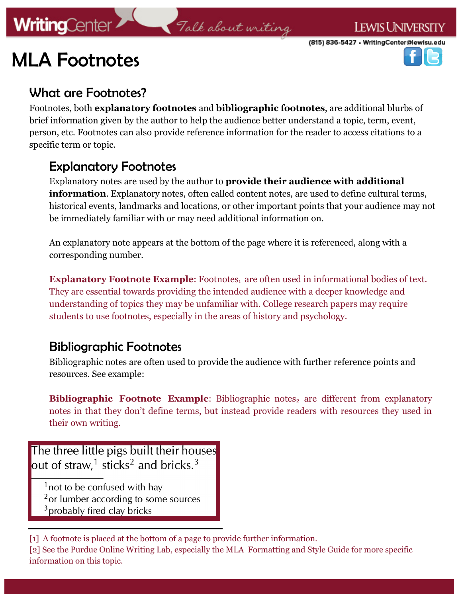## **WritingCenter**

# MLA Footnotes





### What are Footnotes?

Footnotes, both **explanatory footnotes** and **bibliographic footnotes**, are additional blurbs of brief information given by the author to help the audience better understand a topic, term, event, person, etc. Footnotes can also provide reference information for the reader to access citations to a specific term or topic.

Talk about writing

### Explanatory Footnotes

Explanatory notes are used by the author to **provide their audience with additional information**. Explanatory notes, often called content notes, are used to define cultural terms, historical events, landmarks and locations, or other important points that your audience may not be immediately familiar with or may need additional information on.

An explanatory note appears at the bottom of the page where it is referenced, along with a corresponding number.

**Explanatory Footnote Example:** Footnotes<sub>1</sub> are often used in informational bodies of text. They are essential towards providing the intended audience with a deeper knowledge and understanding of topics they may be unfamiliar with. College research papers may require students to use footnotes, especially in the areas of history and psychology.

### Bibliographic Footnotes

Bibliographic notes are often used to provide the audience with further reference points and resources. See example:

**Bibliographic Footnote Example:** Bibliographic notes<sub>2</sub> are different from explanatory notes in that they don't define terms, but instead provide readers with resources they used in their own writing.

The three little pigs built their houses out of straw,<sup>1</sup> sticks<sup>2</sup> and bricks.<sup>3</sup>

<sup>1</sup> not to be confused with hay <sup>2</sup> or lumber according to some sources  $3$  probably fired clay bricks

[1] A footnote is placed at the bottom of a page to provide further information.

[2] See the Purdue Online Writing Lab, especially the MLA Formatting and Style Guide for more specific information on this topic.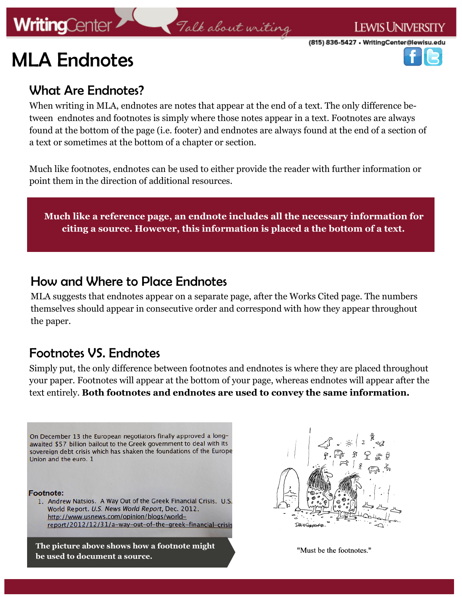## **WritingCenter**

#### **LEWIS UNIVERSITY**





### What Are Endnotes?

When writing in MLA, endnotes are notes that appear at the end of a text. The only difference between endnotes and footnotes is simply where those notes appear in a text. Footnotes are always found at the bottom of the page (i.e. footer) and endnotes are always found at the end of a section of a text or sometimes at the bottom of a chapter or section.

Talk about writing

Much like footnotes, endnotes can be used to either provide the reader with further information or point them in the direction of additional resources.

**Much like a reference page, an endnote includes all the necessary information for citing a source. However, this information is placed a the bottom of a text.** 

### How and Where to Place Endnotes

MLA suggests that endnotes appear on a separate page, after the Works Cited page. The numbers themselves should appear in consecutive order and correspond with how they appear throughout the paper.

### Footnotes VS. Endnotes

Simply put, the only difference between footnotes and endnotes is where they are placed throughout your paper. Footnotes will appear at the bottom of your page, whereas endnotes will appear after the text entirely. **Both footnotes and endnotes are used to convey the same information.**

On December 13 the European negotiators finally approved a longawaited \$57 billion bailout to the Greek government to deal with its sovereign debt crisis which has shaken the foundations of the Europe Union and the euro. 1

**Footnote:** 

1. Andrew Natsios. A Way Out of the Greek Financial Crisis. U.S. World Report. U.S. News World Report, Dec. 2012. http://www.usnews.com/opinion/blogs/worldreport/2012/12/31/a-way-out-of-the-greek-financial-crisis

**The picture above shows how a footnote might be used to document a source.** 



"Must be the footnotes."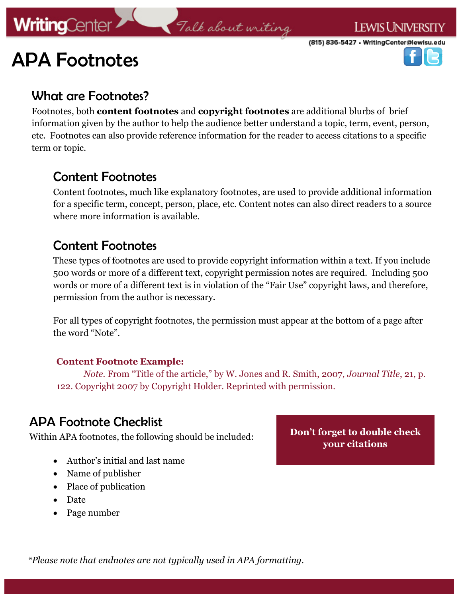# APA Footnotes

(815) 836-5427 • WritingCenter@lewisu.edu



### What are Footnotes?

Footnotes, both **content footnotes** and **copyright footnotes** are additional blurbs of brief information given by the author to help the audience better understand a topic, term, event, person, etc. Footnotes can also provide reference information for the reader to access citations to a specific term or topic.

Falk about writing

### Content Footnotes

Content footnotes, much like explanatory footnotes, are used to provide additional information for a specific term, concept, person, place, etc. Content notes can also direct readers to a source where more information is available.

### Content Footnotes

These types of footnotes are used to provide copyright information within a text. If you include 500 words or more of a different text, copyright permission notes are required. Including 500 words or more of a different text is in violation of the "Fair Use" copyright laws, and therefore, permission from the author is necessary.

For all types of copyright footnotes, the permission must appear at the bottom of a page after the word "Note".

#### **Content Footnote Example:**

*Note*. From "Title of the article," by W. Jones and R. Smith, 2007, *Journal Title*, 21, p. 122. Copyright 2007 by Copyright Holder. Reprinted with permission.

### APA Footnote Checklist

Within APA footnotes, the following should be included: **Don't forget to double check** 

- Author's initial and last name
- Name of publisher
- Place of publication
- Date
- Page number

**your citations** 

*\*Please note that endnotes are not typically used in APA formatting.*